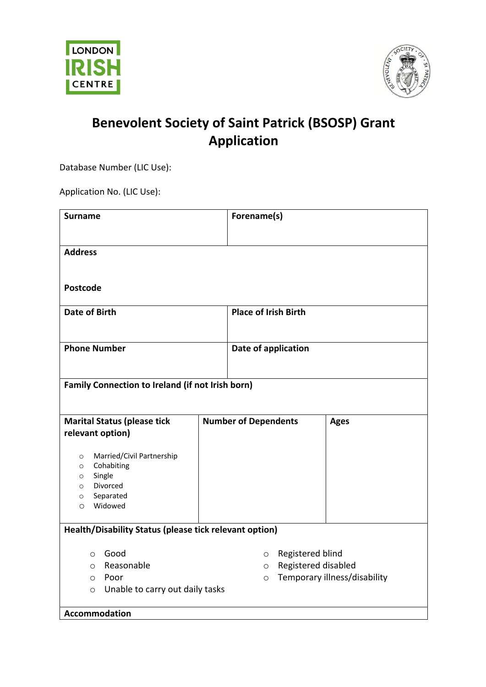



## **Benevolent Society of Saint Patrick (BSOSP) Grant Application**

Database Number (LIC Use):

Application No. (LIC Use):

| <b>Surname</b>                                                                                                                                          | Forename(s)                                                              |                              |
|---------------------------------------------------------------------------------------------------------------------------------------------------------|--------------------------------------------------------------------------|------------------------------|
| <b>Address</b>                                                                                                                                          |                                                                          |                              |
| <b>Postcode</b>                                                                                                                                         |                                                                          |                              |
| <b>Date of Birth</b>                                                                                                                                    | <b>Place of Irish Birth</b>                                              |                              |
| <b>Phone Number</b>                                                                                                                                     | Date of application                                                      |                              |
| Family Connection to Ireland (if not Irish born)                                                                                                        |                                                                          |                              |
| <b>Marital Status (please tick</b><br>relevant option)                                                                                                  | <b>Number of Dependents</b>                                              | <b>Ages</b>                  |
| Married/Civil Partnership<br>$\circ$<br>Cohabiting<br>$\circ$<br>Single<br>$\circ$<br>Divorced<br>$\circ$<br>Separated<br>$\circ$<br>Widowed<br>$\circ$ |                                                                          |                              |
| Health/Disability Status (please tick relevant option)                                                                                                  |                                                                          |                              |
| Good<br>$\circ$<br>Reasonable<br>$\circ$<br>Poor<br>$\circ$<br>Unable to carry out daily tasks<br>$\circ$                                               | Registered blind<br>$\circ$<br>Registered disabled<br>$\circ$<br>$\circ$ | Temporary illness/disability |
| <b>Accommodation</b>                                                                                                                                    |                                                                          |                              |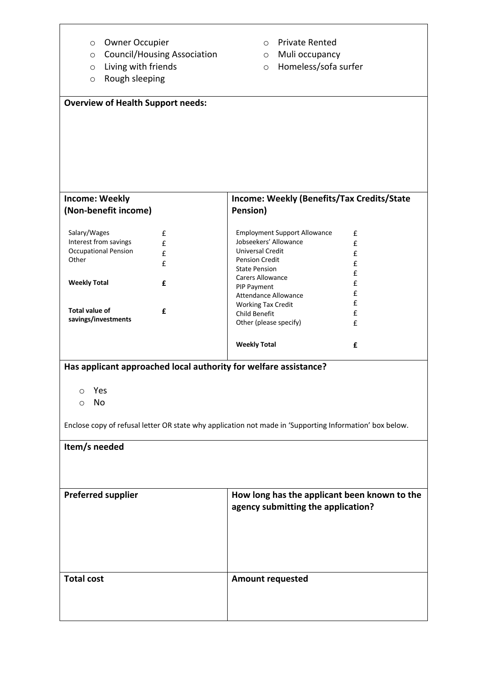| Owner Occupier<br>O                           | <b>Private Rented</b><br>$\circ$                                                                        |   |
|-----------------------------------------------|---------------------------------------------------------------------------------------------------------|---|
| <b>Council/Housing Association</b><br>$\circ$ | Muli occupancy<br>$\circ$                                                                               |   |
| Living with friends<br>$\circ$                | Homeless/sofa surfer<br>$\circ$                                                                         |   |
| Rough sleeping<br>$\circ$                     |                                                                                                         |   |
|                                               |                                                                                                         |   |
|                                               |                                                                                                         |   |
| <b>Overview of Health Support needs:</b>      |                                                                                                         |   |
|                                               |                                                                                                         |   |
|                                               |                                                                                                         |   |
|                                               |                                                                                                         |   |
|                                               |                                                                                                         |   |
|                                               |                                                                                                         |   |
|                                               |                                                                                                         |   |
|                                               |                                                                                                         |   |
| <b>Income: Weekly</b>                         | Income: Weekly (Benefits/Tax Credits/State                                                              |   |
| (Non-benefit income)                          | Pension)                                                                                                |   |
|                                               |                                                                                                         |   |
| Salary/Wages<br>£                             | <b>Employment Support Allowance</b>                                                                     | £ |
| Interest from savings<br>£                    | Jobseekers' Allowance                                                                                   | £ |
| <b>Occupational Pension</b><br>£              | <b>Universal Credit</b>                                                                                 | £ |
| Other<br>£                                    | <b>Pension Credit</b>                                                                                   | £ |
|                                               | <b>State Pension</b><br><b>Carers Allowance</b>                                                         | £ |
| <b>Weekly Total</b><br>£                      | PIP Payment                                                                                             | £ |
|                                               | <b>Attendance Allowance</b>                                                                             | £ |
|                                               | <b>Working Tax Credit</b>                                                                               | £ |
| <b>Total value of</b><br>£                    | Child Benefit                                                                                           | £ |
| savings/investments                           | Other (please specify)                                                                                  | £ |
|                                               |                                                                                                         |   |
|                                               | <b>Weekly Total</b>                                                                                     | £ |
|                                               |                                                                                                         |   |
|                                               | Has applicant approached local authority for welfare assistance?                                        |   |
|                                               |                                                                                                         |   |
| Yes<br>$\circ$                                |                                                                                                         |   |
| No<br>O                                       |                                                                                                         |   |
|                                               |                                                                                                         |   |
|                                               | Enclose copy of refusal letter OR state why application not made in 'Supporting Information' box below. |   |
|                                               |                                                                                                         |   |
| Item/s needed                                 |                                                                                                         |   |
|                                               |                                                                                                         |   |
|                                               |                                                                                                         |   |
|                                               |                                                                                                         |   |
| <b>Preferred supplier</b>                     | How long has the applicant been known to the                                                            |   |
|                                               | agency submitting the application?                                                                      |   |
|                                               |                                                                                                         |   |
|                                               |                                                                                                         |   |
|                                               |                                                                                                         |   |
|                                               |                                                                                                         |   |
|                                               |                                                                                                         |   |
|                                               |                                                                                                         |   |
| <b>Total cost</b>                             | <b>Amount requested</b>                                                                                 |   |
|                                               |                                                                                                         |   |
|                                               |                                                                                                         |   |
|                                               |                                                                                                         |   |
|                                               |                                                                                                         |   |